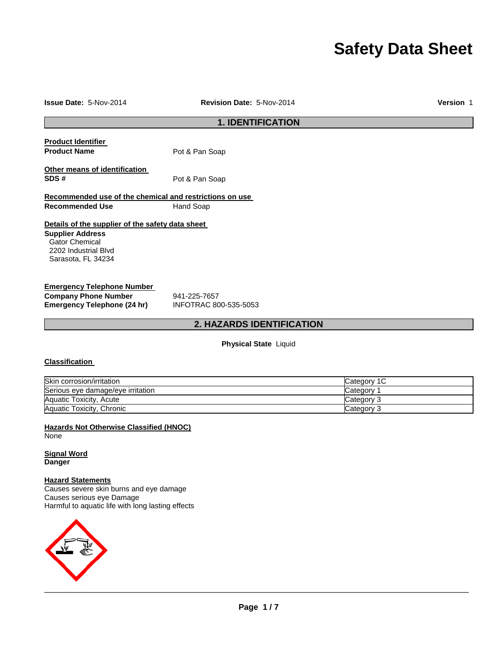# **Safety Data Sheet**

#### **Issue Date:** 5-Nov-2014 **Revision Date:** 5-Nov-2014 **Version** 1

## **1. IDENTIFICATION**

| <b>Product Identifier</b> |                |
|---------------------------|----------------|
| <b>Product Name</b>       | Pot & Pan Soap |
|                           |                |

**Other means of identification**  SDS # Pot & Pan Soap

### **Recommended use of the chemical and restrictions on use Recommended Use 6 Mand Soap**

### **Details of the supplier of the safety data sheet**

**Supplier Address** Gator Chemical 2202 Industrial Blvd Sarasota, FL 34234

#### **Emergency Telephone Number**

**Company Phone Number** 941-225-7657<br> **Emergency Telephone (24 hr)** INFOTRAC 800-535-5053 **Emergency Telephone (24 hr)** 

### **2. HAZARDS IDENTIFICATION**

**Physical State** Liquid

#### **Classification**

| Skin corrosion/irritation         | Category 1C |
|-----------------------------------|-------------|
| Serious eye damage/eye irritation | Category    |
| Aquatic Toxicity, Acute           | Category 3  |
| Aquatic Toxicity, Chronic         | Category 3  |

**Hazards Not Otherwise Classified (HNOC)** None

**Signal Word Danger**

#### **Hazard Statements**

Causes severe skin burns and eye damage Causes serious eye Damage Harmful to aquatic life with long lasting effects

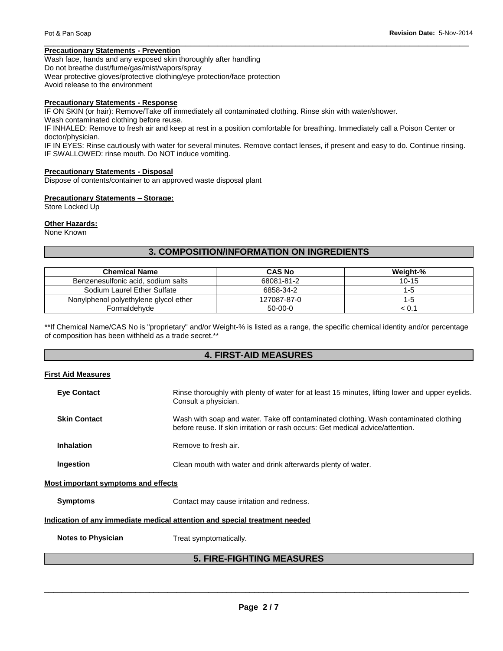### **Precautionary Statements - Prevention**

Wash face, hands and any exposed skin thoroughly after handling Do not breathe dust/fume/gas/mist/vapors/spray Wear protective gloves/protective clothing/eye protection/face protection Avoid release to the environment

#### **Precautionary Statements - Response**

IF ON SKIN (or hair): Remove/Take off immediately all contaminated clothing. Rinse skin with water/shower.

Wash contaminated clothing before reuse.

IF INHALED: Remove to fresh air and keep at rest in a position comfortable for breathing. Immediately call a Poison Center or doctor/physician.

IF IN EYES: Rinse cautiously with water for several minutes. Remove contact lenses, if present and easy to do. Continue rinsing. IF SWALLOWED: rinse mouth. Do NOT induce vomiting.

\_\_\_\_\_\_\_\_\_\_\_\_\_\_\_\_\_\_\_\_\_\_\_\_\_\_\_\_\_\_\_\_\_\_\_\_\_\_\_\_\_\_\_\_\_\_\_\_\_\_\_\_\_\_\_\_\_\_\_\_\_\_\_\_\_\_\_\_\_\_\_\_\_\_\_\_\_\_\_\_\_\_\_\_\_\_\_\_\_\_\_\_\_

#### **Precautionary Statements - Disposal**

Dispose of contents/container to an approved waste disposal plant

#### **Precautionary Statements – Storage:**

Store Locked Up

#### **Other Hazards:**

None Known

### **3. COMPOSITION/INFORMATION ON INGREDIENTS**

| <b>Chemical Name</b>                  | <b>CAS No</b> | Weight-% |
|---------------------------------------|---------------|----------|
| Benzenesulfonic acid, sodium salts    | 68081-81-2    | $10-15$  |
| Sodium Laurel Ether Sulfate           | 6858-34-2     | 1-5      |
| Nonylphenol polyethylene glycol ether | 127087-87-0   | 1-5      |
| Formaldehyde                          | $50-00-0$     | < 0.1    |

\*\*If Chemical Name/CAS No is "proprietary" and/or Weight-% is listed as a range, the specific chemical identity and/or percentage of composition has been withheld as a trade secret.\*\*

### **4. FIRST-AID MEASURES**

#### **First Aid Measures**

| <b>Eye Contact</b>                                                         | Rinse thoroughly with plenty of water for at least 15 minutes, lifting lower and upper eyelids.<br>Consult a physician.                                                |  |
|----------------------------------------------------------------------------|------------------------------------------------------------------------------------------------------------------------------------------------------------------------|--|
| <b>Skin Contact</b>                                                        | Wash with soap and water. Take off contaminated clothing. Wash contaminated clothing<br>before reuse. If skin irritation or rash occurs: Get medical advice/attention. |  |
| Inhalation                                                                 | Remove to fresh air.                                                                                                                                                   |  |
| Ingestion                                                                  | Clean mouth with water and drink afterwards plenty of water.                                                                                                           |  |
| Most important symptoms and effects                                        |                                                                                                                                                                        |  |
| <b>Symptoms</b>                                                            | Contact may cause irritation and redness.                                                                                                                              |  |
| Indication of any immediate medical attention and special treatment needed |                                                                                                                                                                        |  |

**Notes to Physician**  Treat symptomatically.

### **5. FIRE-FIGHTING MEASURES**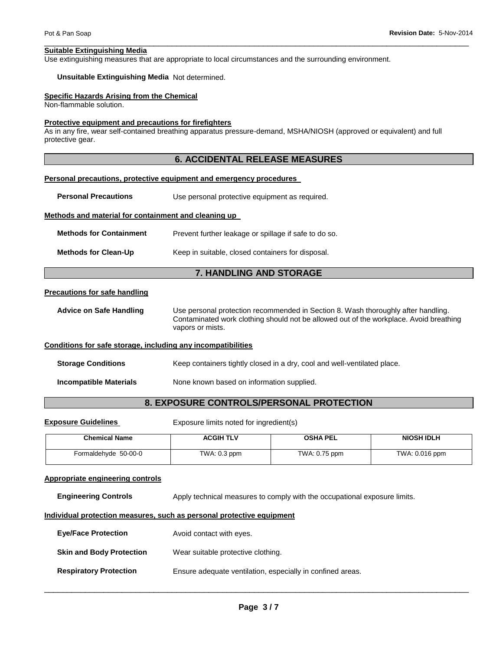#### **Suitable Extinguishing Media**

Use extinguishing measures that are appropriate to local circumstances and the surrounding environment.

#### **Unsuitable Extinguishing Media** Not determined.

#### **Specific Hazards Arising from the Chemical**

Non-flammable solution.

#### **Protective equipment and precautions for firefighters**

As in any fire, wear self-contained breathing apparatus pressure-demand, MSHA/NIOSH (approved or equivalent) and full protective gear.

### **6. ACCIDENTAL RELEASE MEASURES**

\_\_\_\_\_\_\_\_\_\_\_\_\_\_\_\_\_\_\_\_\_\_\_\_\_\_\_\_\_\_\_\_\_\_\_\_\_\_\_\_\_\_\_\_\_\_\_\_\_\_\_\_\_\_\_\_\_\_\_\_\_\_\_\_\_\_\_\_\_\_\_\_\_\_\_\_\_\_\_\_\_\_\_\_\_\_\_\_\_\_\_\_\_

#### **Personal precautions, protective equipment and emergency procedures**

**Personal Precautions Use personal protective equipment as required.** 

#### **Methods and material for containment and cleaning up**

| <b>Methods for Containment</b> | Prevent further leakage or spillage if safe to do so. |
|--------------------------------|-------------------------------------------------------|
| <b>Methods for Clean-Up</b>    | Keep in suitable, closed containers for disposal.     |

### **7. HANDLING AND STORAGE**

#### **Precautions for safe handling**

**Advice on Safe Handling** Use personal protection recommended in Section 8. Wash thoroughly after handling. Contaminated work clothing should not be allowed out of the workplace. Avoid breathing vapors or mists.

#### **Conditions for safe storage, including any incompatibilities**

**Storage Conditions Keep containers tightly closed in a dry, cool and well-ventilated place.** 

**Incompatible Materials None known based on information supplied.** 

#### **8. EXPOSURE CONTROLS/PERSONAL PROTECTION**

**Exposure Guidelines Exposure limits noted for ingredient(s)** 

| <b>Chemical Name</b> | <b>ACGIH TLV</b> | <b>OSHA PEL</b> | <b>NIOSH IDLH</b> |
|----------------------|------------------|-----------------|-------------------|
| Formaldehyde 50-00-0 | TWA: $0.3$ ppm   | TWA: 0.75 ppm   | TWA: 0.016 ppm    |

#### **Appropriate engineering controls**

**Engineering Controls** Apply technical measures to comply with the occupational exposure limits.

#### **Individual protection measures, such as personal protective equipment**

| <b>Eye/Face Protection</b>      | Avoid contact with eyes.                                   |
|---------------------------------|------------------------------------------------------------|
| <b>Skin and Body Protection</b> | Wear suitable protective clothing.                         |
| <b>Respiratory Protection</b>   | Ensure adequate ventilation, especially in confined areas. |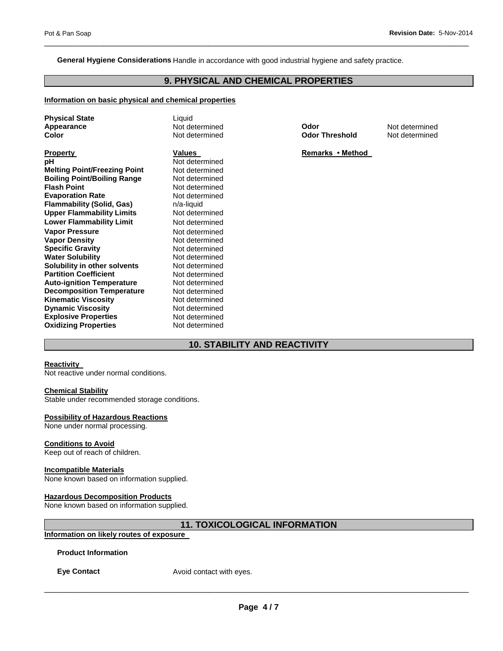**General Hygiene Considerations** Handle in accordance with good industrial hygiene and safety practice.

### **9. PHYSICAL AND CHEMICAL PROPERTIES**

\_\_\_\_\_\_\_\_\_\_\_\_\_\_\_\_\_\_\_\_\_\_\_\_\_\_\_\_\_\_\_\_\_\_\_\_\_\_\_\_\_\_\_\_\_\_\_\_\_\_\_\_\_\_\_\_\_\_\_\_\_\_\_\_\_\_\_\_\_\_\_\_\_\_\_\_\_\_\_\_\_\_\_\_\_\_\_\_\_\_\_\_\_

#### **Information on basic physical and chemical properties**

| <b>Physical State</b>               | Liquid         |
|-------------------------------------|----------------|
| Appearance                          | Not determined |
| Color                               | Not determined |
|                                     |                |
| <b>Property</b>                     | <b>Values</b>  |
| рH                                  | Not determined |
| <b>Melting Point/Freezing Point</b> | Not determined |
| <b>Boiling Point/Boiling Range</b>  | Not determined |
| <b>Flash Point</b>                  | Not determined |
| <b>Evaporation Rate</b>             | Not determined |
| <b>Flammability (Solid, Gas)</b>    | n/a-liquid     |
| <b>Upper Flammability Limits</b>    | Not determined |
| <b>Lower Flammability Limit</b>     | Not determined |
| <b>Vapor Pressure</b>               | Not determined |
| <b>Vapor Density</b>                | Not determined |
| <b>Specific Gravity</b>             | Not determined |
| <b>Water Solubility</b>             | Not determined |
| Solubility in other solvents        | Not determined |
| <b>Partition Coefficient</b>        | Not determined |
| <b>Auto-ignition Temperature</b>    | Not determined |
| <b>Decomposition Temperature</b>    | Not determined |
| <b>Kinematic Viscosity</b>          | Not determined |
| <b>Dynamic Viscosity</b>            | Not determined |
| <b>Explosive Properties</b>         | Not determined |
| <b>Oxidizing Properties</b>         | Not determined |
|                                     |                |

ined **Odor Dear Codor N**ot determined<br> **Appearance Codor Threshold** Not determined

**Not determined** 

**Remarks • Method** 

### **10. STABILITY AND REACTIVITY**

#### **Reactivity**

Not reactive under normal conditions.

#### **Chemical Stability**

Stable under recommended storage conditions.

#### **Possibility of Hazardous Reactions**

None under normal processing.

#### **Conditions to Avoid**

Keep out of reach of children.

#### **Incompatible Materials**

None known based on information supplied.

#### **Hazardous Decomposition Products**

None known based on information supplied.

### **11. TOXICOLOGICAL INFORMATION**

### **Information on likely routes of exposure**

**Product Information** 

**Eye Contact Avoid contact with eyes.**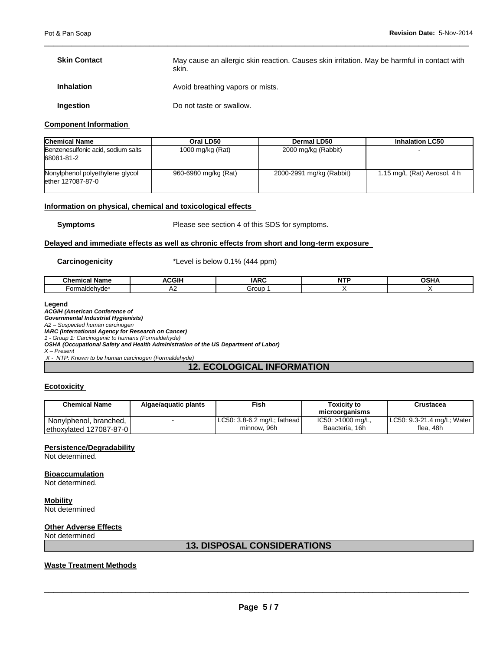| <b>Skin Contact</b> | May cause an allergic skin reaction. Causes skin irritation. May be harmful in contact with<br>skin. |
|---------------------|------------------------------------------------------------------------------------------------------|
| <b>Inhalation</b>   | Avoid breathing vapors or mists.                                                                     |
| Ingestion           | Do not taste or swallow.                                                                             |

\_\_\_\_\_\_\_\_\_\_\_\_\_\_\_\_\_\_\_\_\_\_\_\_\_\_\_\_\_\_\_\_\_\_\_\_\_\_\_\_\_\_\_\_\_\_\_\_\_\_\_\_\_\_\_\_\_\_\_\_\_\_\_\_\_\_\_\_\_\_\_\_\_\_\_\_\_\_\_\_\_\_\_\_\_\_\_\_\_\_\_\_\_

#### **Component Information**

| <b>Chemical Name</b>                                 | Oral LD50            | Dermal LD50              | <b>Inhalation LC50</b>       |
|------------------------------------------------------|----------------------|--------------------------|------------------------------|
| Benzenesulfonic acid, sodium salts<br>68081-81-2     | 1000 mg/kg (Rat)     | 2000 mg/kg (Rabbit)      |                              |
| Nonylphenol polyethylene glycol<br>ether 127087-87-0 | 960-6980 mg/kg (Rat) | 2000-2991 mg/kg (Rabbit) | 1.15 mg/L (Rat) Aerosol, 4 h |

#### **Information on physical, chemical and toxicological effects**

**Symptoms** Please see section 4 of this SDS for symptoms.

#### **Delayed and immediate effects as well as chronic effects from short and long-term exposure**

**Carcinogenicity** \*Level is below 0.1% (444 ppm)

| `homies<br>Nam.<br>יווומו                                    | <b>GII</b><br>W | $\overline{\phantom{0}}$<br>וגו<br>$\sim$ | . | . |
|--------------------------------------------------------------|-----------------|-------------------------------------------|---|---|
| .<br>.<br>$\tilde{\phantom{a}}$<br>10 N 10<br>ОГ<br>ے ا<br>. | ∼               | Grour                                     |   |   |

#### **Legend**

#### *ACGIH (American Conference of*

*Governmental Industrial Hygienists)*

*A2 – Suspected human carcinogen*

*IARC (International Agency for Research on Cancer)*

*1 - Group 1: Carcinogenic to humans (Formaldehyde) OSHA (Occupational Safety and Health Administration of the US Department of Labor)*

*X – Present*

*X - NTP: Known to be human carcinogen (Formaldehyde)*

### **12. ECOLOGICAL INFORMATION**

#### **Ecotoxicity**

| Chemical Name           | Algae/aguatic plants | Fish                        | Toxicitv to       | Crustacea                  |
|-------------------------|----------------------|-----------------------------|-------------------|----------------------------|
|                         |                      |                             | microorganisms    |                            |
| Nonylphenol, branched,  |                      | LC50: 3.8-6.2 mg/L; fathead | IC50: >1000 mg/L, | LC50: 9.3-21.4 mg/L; Water |
| ethoxylated 127087-87-0 |                      | minnow, 96h                 | Baacteria, 16h    | flea. 48h                  |

#### **Persistence/Degradability**

Not determined.

**Bioaccumulation** Not determined.

**Mobility** Not determined

### **Other Adverse Effects**

Not determined

#### **13. DISPOSAL CONSIDERATIONS**

### **Waste Treatment Methods**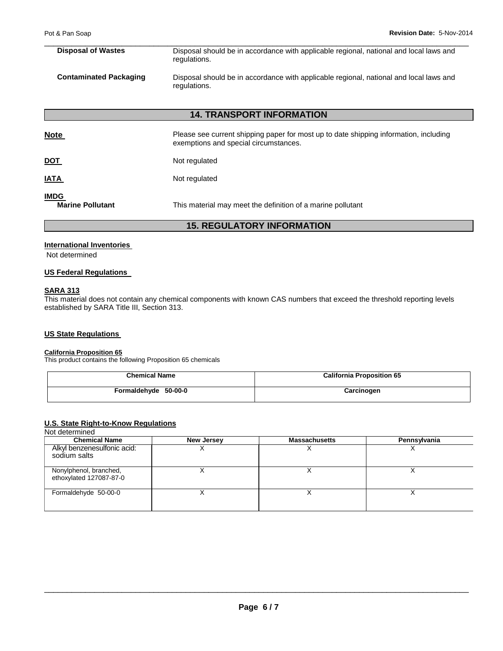| <b>Disposal of Wastes</b>     | Disposal should be in accordance with applicable regional, national and local laws and<br>regulations. |
|-------------------------------|--------------------------------------------------------------------------------------------------------|
| <b>Contaminated Packaging</b> | Disposal should be in accordance with applicable regional, national and local laws and<br>regulations. |

\_\_\_\_\_\_\_\_\_\_\_\_\_\_\_\_\_\_\_\_\_\_\_\_\_\_\_\_\_\_\_\_\_\_\_\_\_\_\_\_\_\_\_\_\_\_\_\_\_\_\_\_\_\_\_\_\_\_\_\_\_\_\_\_\_\_\_\_\_\_\_\_\_\_\_\_\_\_\_\_\_\_\_\_\_\_\_\_\_\_\_\_\_

### **14. TRANSPORT INFORMATION**

| <b>Note</b>                            | Please see current shipping paper for most up to date shipping information, including<br>exemptions and special circumstances. |
|----------------------------------------|--------------------------------------------------------------------------------------------------------------------------------|
| <u>DOT</u>                             | Not regulated                                                                                                                  |
| <u>IATA</u>                            | Not regulated                                                                                                                  |
| <b>IMDG</b><br><b>Marine Pollutant</b> | This material may meet the definition of a marine pollutant                                                                    |

### **15. REGULATORY INFORMATION**

### **International Inventories**

Not determined

#### **US Federal Regulations**

### **SARA 313**

This material does not contain any chemical components with known CAS numbers that exceed the threshold reporting levels established by SARA Title III, Section 313.

### **US State Regulations**

#### **California Proposition 65**

This product contains the following Proposition 65 chemicals

| <b>Chemical Name</b> | <b>California Proposition 65</b> |  |
|----------------------|----------------------------------|--|
| Formaldehyde 50-00-0 | Carcinogen                       |  |

### **U.S. State Right-to-Know Regulations**

#### Not determined

| <b>Chemical Name</b>                              | <b>New Jersey</b> | <b>Massachusetts</b> | Pennsylvania |
|---------------------------------------------------|-------------------|----------------------|--------------|
| Alkyl benzenesulfonic acid:<br>sodium salts       |                   |                      |              |
| Nonylphenol, branched,<br>ethoxylated 127087-87-0 |                   |                      |              |
| Formaldehyde 50-00-0                              |                   |                      |              |